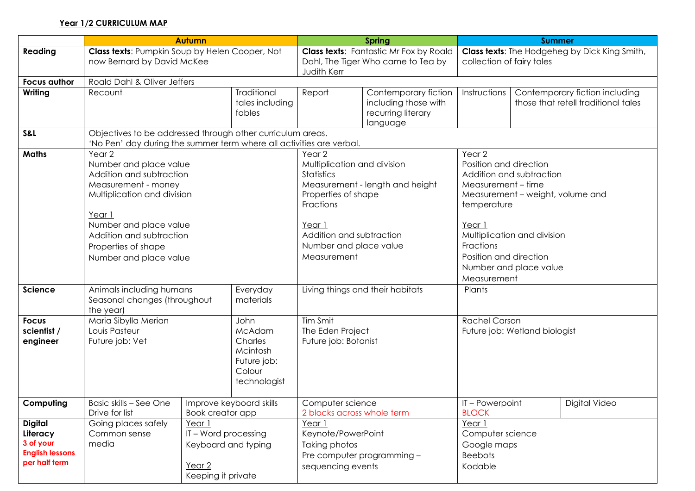## **Year 1/2 CURRICULUM MAP**

|                                                                                    | <b>Autumn</b>                                                                                                                                                                                                                       |  | <b>Spring</b>                                                                                    |                                                                                                                                                                        | <b>Summer</b>                                                                       |                                                                                                                                                                                                                                                                           |               |                                                                       |
|------------------------------------------------------------------------------------|-------------------------------------------------------------------------------------------------------------------------------------------------------------------------------------------------------------------------------------|--|--------------------------------------------------------------------------------------------------|------------------------------------------------------------------------------------------------------------------------------------------------------------------------|-------------------------------------------------------------------------------------|---------------------------------------------------------------------------------------------------------------------------------------------------------------------------------------------------------------------------------------------------------------------------|---------------|-----------------------------------------------------------------------|
| Reading                                                                            | Class texts: Pumpkin Soup by Helen Cooper, Not<br>now Bernard by David McKee                                                                                                                                                        |  |                                                                                                  | Judith Kerr                                                                                                                                                            | <b>Class texts:</b> Fantastic Mr Fox by Roald<br>Dahl, The Tiger Who came to Tea by | <b>Class texts:</b> The Hodgeheg by Dick King Smith,<br>collection of fairy tales                                                                                                                                                                                         |               |                                                                       |
| <b>Focus author</b>                                                                | Roald Dahl & Oliver Jeffers                                                                                                                                                                                                         |  |                                                                                                  |                                                                                                                                                                        |                                                                                     |                                                                                                                                                                                                                                                                           |               |                                                                       |
| Writing                                                                            | Recount                                                                                                                                                                                                                             |  | Traditional<br>tales including<br>fables                                                         | Report                                                                                                                                                                 | Contemporary fiction<br>including those with<br>recurring literary<br>language      | Instructions                                                                                                                                                                                                                                                              |               | Contemporary fiction including<br>those that retell traditional tales |
| S&L                                                                                | Objectives to be addressed through other curriculum areas.<br>'No Pen' day during the summer term where all activities are verbal.                                                                                                  |  |                                                                                                  |                                                                                                                                                                        |                                                                                     |                                                                                                                                                                                                                                                                           |               |                                                                       |
| <b>Maths</b>                                                                       | Year 2<br>Number and place value<br>Addition and subtraction<br>Measurement - money<br>Multiplication and division<br>Year 1<br>Number and place value<br>Addition and subtraction<br>Properties of shape<br>Number and place value |  |                                                                                                  | Year 2<br>Multiplication and division<br>Statistics<br>Properties of shape<br>Fractions<br>Year 1<br>Addition and subtraction<br>Number and place value<br>Measurement | Measurement - length and height                                                     | Year <sub>2</sub><br>Position and direction<br>Addition and subtraction<br>Measurement - time<br>Measurement - weight, volume and<br>temperature<br>Year 1<br>Multiplication and division<br>Fractions<br>Position and direction<br>Number and place value<br>Measurement |               |                                                                       |
| <b>Science</b>                                                                     | Animals including humans<br>Everyday<br>Seasonal changes (throughout<br>materials<br>the year)                                                                                                                                      |  |                                                                                                  | Living things and their habitats                                                                                                                                       |                                                                                     | Plants                                                                                                                                                                                                                                                                    |               |                                                                       |
| <b>Focus</b><br>scientist /<br>engineer                                            | Maria Sibylla Merian<br>John<br>Louis Pasteur<br>McAdam<br>Future job: Vet<br>Charles<br>Mcintosh<br>Future job:<br>Colour                                                                                                          |  | technologist                                                                                     | Tim Smit<br>The Eden Project<br>Future job: Botanist                                                                                                                   |                                                                                     | <b>Rachel Carson</b><br>Future job: Wetland biologist                                                                                                                                                                                                                     |               |                                                                       |
| Computing                                                                          | Basic skills - See One<br>Improve keyboard skills<br>Drive for list<br>Book creator app                                                                                                                                             |  | Computer science<br>2 blocks across whole term                                                   |                                                                                                                                                                        | IT-Powerpoint<br><b>BLOCK</b>                                                       |                                                                                                                                                                                                                                                                           | Digital Video |                                                                       |
| <b>Digital</b><br>Literacy<br>3 of your<br><b>English lessons</b><br>per half term | Going places safely<br>Year 1<br>Common sense<br>IT - Word processing<br>media<br>Keyboard and typing<br>Year 2<br>Keeping it private                                                                                               |  | Year 1<br>Keynote/PowerPoint<br>Taking photos<br>Pre computer programming -<br>sequencing events |                                                                                                                                                                        | Year 1<br>Computer science<br>Google maps<br><b>Beebots</b><br>Kodable              |                                                                                                                                                                                                                                                                           |               |                                                                       |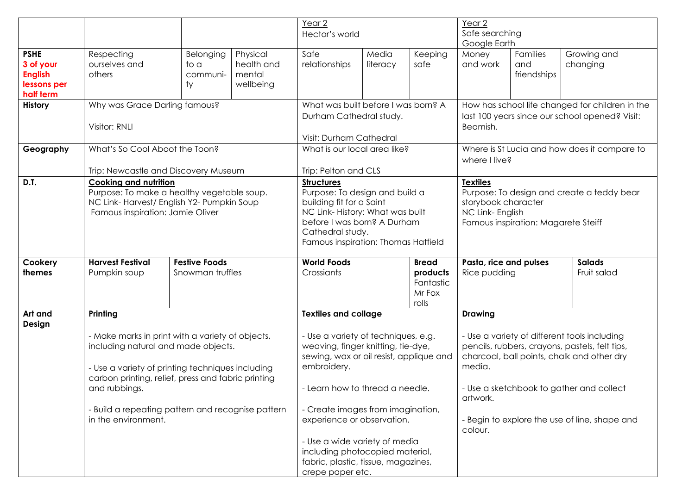|                |                                                                          |                                                  |                                | Year 2                              |                                                                                                                           |              | Year 2                                                            |                                                                                                        |                                               |  |
|----------------|--------------------------------------------------------------------------|--------------------------------------------------|--------------------------------|-------------------------------------|---------------------------------------------------------------------------------------------------------------------------|--------------|-------------------------------------------------------------------|--------------------------------------------------------------------------------------------------------|-----------------------------------------------|--|
|                |                                                                          |                                                  |                                | Hector's world                      |                                                                                                                           |              | Safe searching                                                    |                                                                                                        |                                               |  |
|                |                                                                          |                                                  |                                |                                     |                                                                                                                           |              | Google Earth                                                      |                                                                                                        |                                               |  |
| <b>PSHE</b>    | Respecting                                                               | Belonging                                        | Physical                       | Safe                                | Media                                                                                                                     | Keeping      | Money                                                             | Families                                                                                               | Growing and                                   |  |
| 3 of your      | ourselves and                                                            | to a                                             | health and                     | relationships                       | literacy                                                                                                                  | safe         | and work                                                          | and                                                                                                    | changing                                      |  |
| <b>English</b> | others                                                                   | communi-                                         | mental                         |                                     |                                                                                                                           |              |                                                                   | friendships                                                                                            |                                               |  |
| lessons per    |                                                                          | ty                                               | wellbeing                      |                                     |                                                                                                                           |              |                                                                   |                                                                                                        |                                               |  |
| half term      |                                                                          |                                                  |                                |                                     |                                                                                                                           |              |                                                                   |                                                                                                        |                                               |  |
| <b>History</b> | Why was Grace Darling famous?                                            |                                                  |                                | What was built before I was born? A |                                                                                                                           |              | How has school life changed for children in the                   |                                                                                                        |                                               |  |
|                |                                                                          |                                                  |                                | Durham Cathedral study.             |                                                                                                                           |              | last 100 years since our school opened? Visit:                    |                                                                                                        |                                               |  |
|                | Visitor: RNLI                                                            |                                                  |                                |                                     |                                                                                                                           |              | Beamish.                                                          |                                                                                                        |                                               |  |
|                |                                                                          |                                                  |                                | Visit: Durham Cathedral             |                                                                                                                           |              |                                                                   |                                                                                                        |                                               |  |
|                | What's So Cool Aboot the Toon?                                           |                                                  |                                |                                     | What is our local area like?                                                                                              |              |                                                                   | Where is St Lucia and how does it compare to                                                           |                                               |  |
| Geography      |                                                                          |                                                  |                                |                                     |                                                                                                                           |              |                                                                   |                                                                                                        |                                               |  |
|                |                                                                          |                                                  |                                |                                     |                                                                                                                           |              | where I live?                                                     |                                                                                                        |                                               |  |
|                | Trip: Newcastle and Discovery Museum                                     |                                                  |                                |                                     | Trip: Pelton and CLS                                                                                                      |              |                                                                   |                                                                                                        |                                               |  |
| D.T.           | <b>Cooking and nutrition</b>                                             |                                                  |                                |                                     | <b>Structures</b>                                                                                                         |              |                                                                   | <b>Textiles</b>                                                                                        |                                               |  |
|                | Purpose: To make a healthy vegetable soup.                               |                                                  | Purpose: To design and build a |                                     |                                                                                                                           |              | Purpose: To design and create a teddy bear<br>storybook character |                                                                                                        |                                               |  |
|                | NC Link-Harvest/ English Y2- Pumpkin Soup                                |                                                  |                                | building fit for a Saint            |                                                                                                                           |              |                                                                   |                                                                                                        |                                               |  |
|                | Famous inspiration: Jamie Oliver                                         |                                                  |                                |                                     | NC Link-History: What was built<br>before I was born? A Durham<br>Cathedral study.<br>Famous inspiration: Thomas Hatfield |              |                                                                   | NC Link- English<br>Famous inspiration: Magarete Steiff                                                |                                               |  |
|                |                                                                          |                                                  |                                |                                     |                                                                                                                           |              |                                                                   |                                                                                                        |                                               |  |
|                |                                                                          |                                                  |                                |                                     |                                                                                                                           |              |                                                                   |                                                                                                        |                                               |  |
|                |                                                                          |                                                  |                                |                                     |                                                                                                                           |              |                                                                   |                                                                                                        |                                               |  |
|                |                                                                          |                                                  |                                |                                     |                                                                                                                           |              |                                                                   |                                                                                                        |                                               |  |
| Cookery        | <b>Harvest Festival</b>                                                  | <b>Festive Foods</b>                             |                                | <b>World Foods</b>                  |                                                                                                                           | <b>Bread</b> | Pasta, rice and pulses<br><b>Salads</b>                           |                                                                                                        |                                               |  |
| themes         | Pumpkin soup                                                             | Snowman truffles                                 |                                | Crossiants                          |                                                                                                                           | products     | Rice pudding                                                      |                                                                                                        | Fruit salad                                   |  |
|                |                                                                          |                                                  |                                |                                     |                                                                                                                           | Fantastic    |                                                                   |                                                                                                        |                                               |  |
|                |                                                                          |                                                  |                                |                                     |                                                                                                                           | Mr Fox       |                                                                   |                                                                                                        |                                               |  |
|                |                                                                          |                                                  |                                |                                     |                                                                                                                           | rolls        |                                                                   |                                                                                                        |                                               |  |
| Art and        | Printing                                                                 |                                                  |                                | <b>Textiles and collage</b>         |                                                                                                                           |              | <b>Drawing</b>                                                    |                                                                                                        |                                               |  |
| Design         |                                                                          |                                                  |                                |                                     |                                                                                                                           |              |                                                                   |                                                                                                        |                                               |  |
|                |                                                                          | - Make marks in print with a variety of objects, |                                | - Use a variety of techniques, e.g. |                                                                                                                           |              | - Use a variety of different tools including                      |                                                                                                        |                                               |  |
|                | including natural and made objects.                                      |                                                  |                                |                                     | weaving, finger knitting, tie-dye,<br>sewing, wax or oil resist, applique and                                             |              |                                                                   | pencils, rubbers, crayons, pastels, felt tips,<br>charcoal, ball points, chalk and other dry<br>media. |                                               |  |
|                | - Use a variety of printing techniques including                         |                                                  |                                |                                     |                                                                                                                           |              |                                                                   |                                                                                                        |                                               |  |
|                |                                                                          |                                                  | embroidery.                    |                                     |                                                                                                                           |              |                                                                   |                                                                                                        |                                               |  |
|                |                                                                          |                                                  |                                |                                     |                                                                                                                           |              |                                                                   |                                                                                                        |                                               |  |
|                | carbon printing, relief, press and fabric printing<br>and rubbings.      |                                                  |                                |                                     |                                                                                                                           |              |                                                                   |                                                                                                        |                                               |  |
|                |                                                                          |                                                  |                                | - Learn how to thread a needle.     |                                                                                                                           |              | - Use a sketchbook to gather and collect<br>artwork.              |                                                                                                        |                                               |  |
|                |                                                                          |                                                  |                                |                                     |                                                                                                                           |              |                                                                   |                                                                                                        |                                               |  |
|                | - Build a repeating pattern and recognise pattern<br>in the environment. |                                                  |                                | - Create images from imagination,   |                                                                                                                           |              |                                                                   |                                                                                                        |                                               |  |
|                |                                                                          |                                                  |                                |                                     | experience or observation.                                                                                                |              |                                                                   |                                                                                                        | - Begin to explore the use of line, shape and |  |
|                |                                                                          |                                                  |                                |                                     |                                                                                                                           | colour.      |                                                                   |                                                                                                        |                                               |  |
|                |                                                                          |                                                  |                                | - Use a wide variety of media       |                                                                                                                           |              |                                                                   |                                                                                                        |                                               |  |
|                |                                                                          |                                                  |                                | including photocopied material,     |                                                                                                                           |              |                                                                   |                                                                                                        |                                               |  |
|                |                                                                          |                                                  |                                | fabric, plastic, tissue, magazines, |                                                                                                                           |              |                                                                   |                                                                                                        |                                               |  |
|                |                                                                          |                                                  |                                | crepe paper etc.                    |                                                                                                                           |              |                                                                   |                                                                                                        |                                               |  |